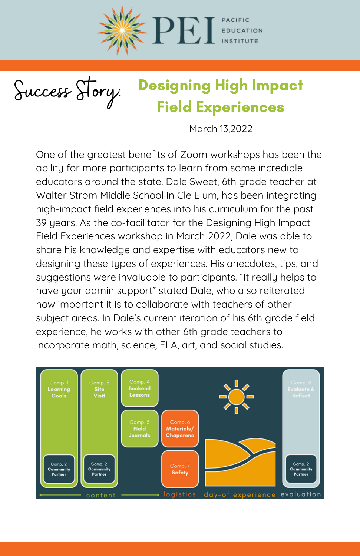

Success Story:

## Designing High Impact Field Experiences

March 13,2022

One of the greatest benefits of Zoom workshops has been the ability for more participants to learn from some incredible educators around the state. Dale Sweet, 6th grade teacher at Walter Strom Middle School in Cle Elum, has been integrating high-impact field experiences into his curriculum for the past 39 years. As the co-facilitator for the Designing High Impact Field Experiences workshop in March 2022, Dale was able to share his knowledge and expertise with educators new to designing these types of experiences. His anecdotes, tips, and suggestions were invaluable to participants. "It really helps to have your admin support" stated Dale, who also reiterated how important it is to collaborate with teachers of other subject areas. In Dale's current iteration of his 6th grade field experience, he works with other 6th grade teachers to incorporate math, science, ELA, art, and social studies.